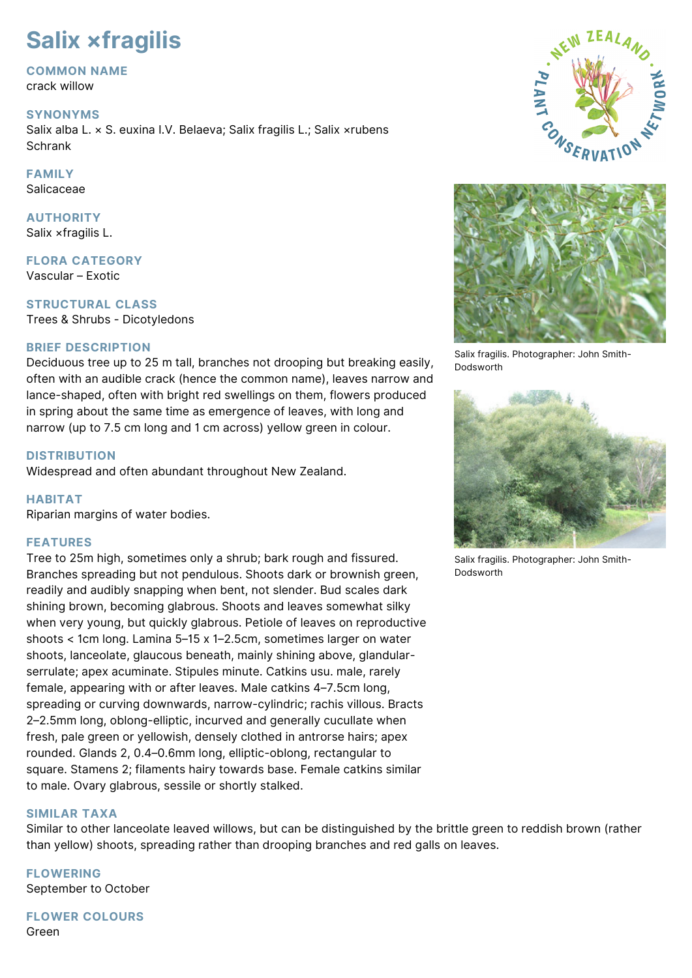# **Salix ×fragilis**

#### **COMMON NAME**

crack willow

#### **SYNONYMS**

Salix alba L. × S. euxina I.V. Belaeva; Salix fragilis L.; Salix ×rubens **Schrank** 

### **FAMILY**

Salicaceae

#### **AUTHORITY** Salix ×fragilis L.

**FLORA CATEGORY** Vascular – Exotic

**STRUCTURAL CLASS** Trees & Shrubs - Dicotyledons

#### **BRIEF DESCRIPTION**

Deciduous tree up to 25 m tall, branches not drooping but breaking easily, often with an audible crack (hence the common name), leaves narrow and lance-shaped, often with bright red swellings on them, flowers produced in spring about the same time as emergence of leaves, with long and narrow (up to 7.5 cm long and 1 cm across) yellow green in colour.

#### **DISTRIBUTION**

Widespread and often abundant throughout New Zealand.

#### **HABITAT**

Riparian margins of water bodies.

#### **FEATURES**

Tree to 25m high, sometimes only a shrub; bark rough and fissured. Branches spreading but not pendulous. Shoots dark or brownish green, readily and audibly snapping when bent, not slender. Bud scales dark shining brown, becoming glabrous. Shoots and leaves somewhat silky when very young, but quickly glabrous. Petiole of leaves on reproductive shoots < 1cm long. Lamina 5–15 x 1–2.5cm, sometimes larger on water shoots, lanceolate, glaucous beneath, mainly shining above, glandularserrulate; apex acuminate. Stipules minute. Catkins usu. male, rarely female, appearing with or after leaves. Male catkins 4–7.5cm long, spreading or curving downwards, narrow-cylindric; rachis villous. Bracts 2–2.5mm long, oblong-elliptic, incurved and generally cucullate when fresh, pale green or yellowish, densely clothed in antrorse hairs; apex rounded. Glands 2, 0.4–0.6mm long, elliptic-oblong, rectangular to square. Stamens 2; filaments hairy towards base. Female catkins similar to male. Ovary glabrous, sessile or shortly stalked.

#### **SIMILAR TAXA**

Similar to other lanceolate leaved willows, but can be distinguished by the brittle green to reddish brown (rather than yellow) shoots, spreading rather than drooping branches and red galls on leaves.

**FLOWERING** September to October

**FLOWER COLOURS** Green





Salix fragilis. Photographer: John Smith-Dodsworth



Salix fragilis. Photographer: John Smith-**Dodsworth**